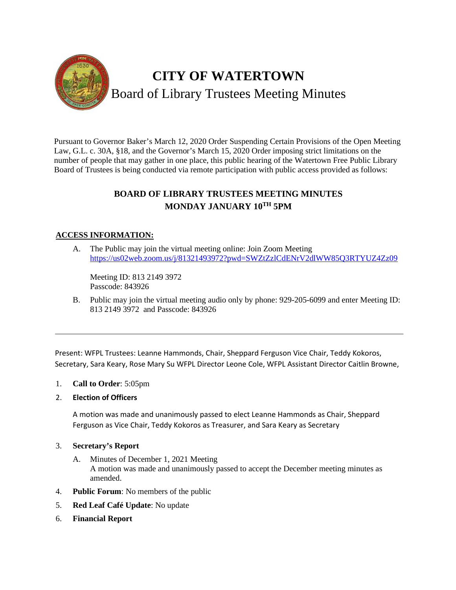

Pursuant to Governor Baker's March 12, 2020 Order Suspending Certain Provisions of the Open Meeting Law, G.L. c. 30A, §18, and the Governor's March 15, 2020 Order imposing strict limitations on the number of people that may gather in one place, this public hearing of the Watertown Free Public Library Board of Trustees is being conducted via remote participation with public access provided as follows:

# **BOARD OF LIBRARY TRUSTEES MEETING MINUTES MONDAY JANUARY 10TH 5PM**

## **ACCESS INFORMATION:**

A. The Public may join the virtual meeting online: Join Zoom Meeting <https://us02web.zoom.us/j/81321493972?pwd=SWZtZzlCdENrV2dlWW85Q3RTYUZ4Zz09>

Meeting ID: 813 2149 3972 Passcode: 843926

B. Public may join the virtual meeting audio only by phone: 929-205-6099 and enter Meeting ID: 813 2149 3972 and Passcode: 843926

Present: WFPL Trustees: Leanne Hammonds, Chair, Sheppard Ferguson Vice Chair, Teddy Kokoros, Secretary, Sara Keary, Rose Mary Su WFPL Director Leone Cole, WFPL Assistant Director Caitlin Browne,

- 1. **Call to Order**: 5:05pm
- 2. **Election of Officers**

A motion was made and unanimously passed to elect Leanne Hammonds as Chair, Sheppard Ferguson as Vice Chair, Teddy Kokoros as Treasurer, and Sara Keary as Secretary

#### 3. **Secretary's Report**

- A. Minutes of December 1, 2021 Meeting A motion was made and unanimously passed to accept the December meeting minutes as amended.
- 4. **Public Forum**: No members of the public
- 5. **Red Leaf Café Update**: No update
- 6. **Financial Report**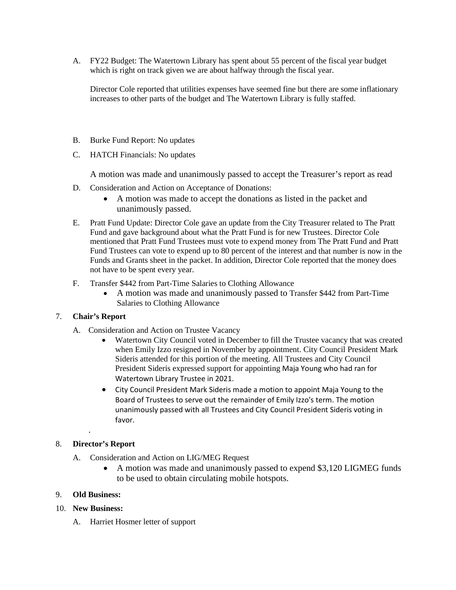A. FY22 Budget: The Watertown Library has spent about 55 percent of the fiscal year budget which is right on track given we are about halfway through the fiscal year.

Director Cole reported that utilities expenses have seemed fine but there are some inflationary increases to other parts of the budget and The Watertown Library is fully staffed.

- B. Burke Fund Report: No updates
- C. HATCH Financials: No updates

A motion was made and unanimously passed to accept the Treasurer's report as read

- D. Consideration and Action on Acceptance of Donations:
	- A motion was made to accept the donations as listed in the packet and unanimously passed.
- E. Pratt Fund Update: Director Cole gave an update from the City Treasurer related to The Pratt Fund and gave background about what the Pratt Fund is for new Trustees. Director Cole mentioned that Pratt Fund Trustees must vote to expend money from The Pratt Fund and Pratt Fund Trustees can vote to expend up to 80 percent of the interest and that number is now in the Funds and Grants sheet in the packet. In addition, Director Cole reported that the money does not have to be spent every year.
- F. Transfer \$442 from Part-Time Salaries to Clothing Allowance
	- A motion was made and unanimously passed to Transfer \$442 from Part-Time Salaries to Clothing Allowance

#### 7. **Chair's Report**

- A. Consideration and Action on Trustee Vacancy
	- Watertown City Council voted in December to fill the Trustee vacancy that was created when Emily Izzo resigned in November by appointment. City Council President Mark Sideris attended for this portion of the meeting. All Trustees and City Council President Sideris expressed support for appointing Maja Young who had ran for Watertown Library Trustee in 2021.
	- City Council President Mark Sideris made a motion to appoint Maja Young to the Board of Trustees to serve out the remainder of Emily Izzo's term. The motion unanimously passed with all Trustees and City Council President Sideris voting in favor.

#### 8. **Director's Report**

.

- A. Consideration and Action on LIG/MEG Request
	- A motion was made and unanimously passed to expend \$3,120 LIGMEG funds to be used to obtain circulating mobile hotspots.

#### 9. **Old Business:**

- 10. **New Business:**
	- A. Harriet Hosmer letter of support